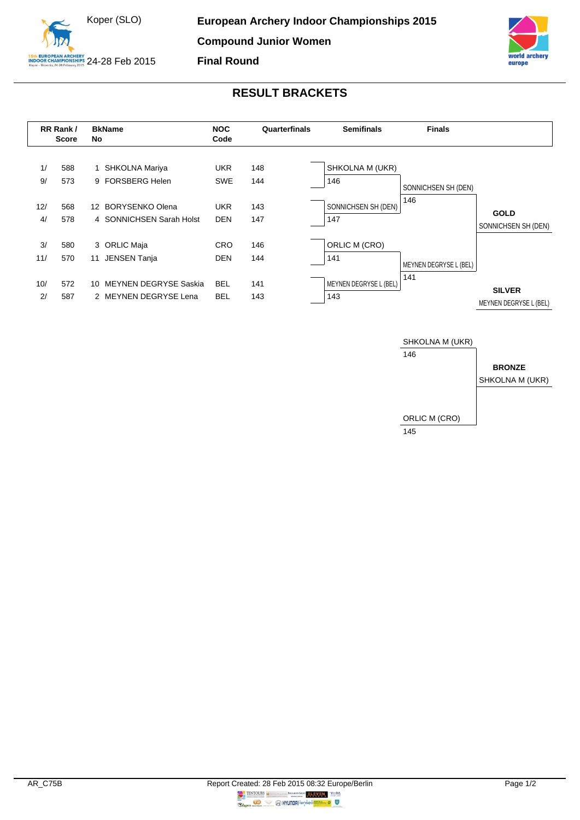



## **RESULT BRACKETS**